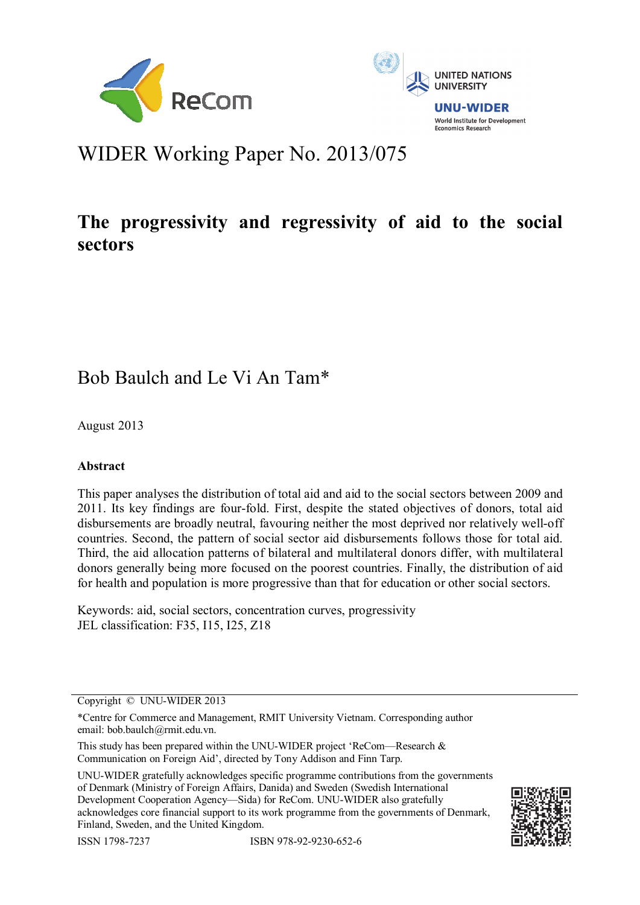



# WIDER Working Paper No. 2013/075

# **The progressivity and regressivity of aid to the social sectors**

## Bob Baulch and Le Vi An Tam\*

August 2013

## **Abstract**

This paper analyses the distribution of total aid and aid to the social sectors between 2009 and 2011. Its key findings are four-fold. First, despite the stated objectives of donors, total aid disbursements are broadly neutral, favouring neither the most deprived nor relatively well-off countries. Second, the pattern of social sector aid disbursements follows those for total aid. Third, the aid allocation patterns of bilateral and multilateral donors differ, with multilateral donors generally being more focused on the poorest countries. Finally, the distribution of aid for health and population is more progressive than that for education or other social sectors.

Keywords: aid, social sectors, concentration curves, progressivity JEL classification: F35, I15, I25, Z18

Copyright © UNU-WIDER 2013

This study has been prepared within the UNU-WIDER project 'ReCom—Research & Communication on Foreign Aid', directed by Tony Addison and Finn Tarp.

UNU-WIDER gratefully acknowledges specific programme contributions from the governments of Denmark (Ministry of Foreign Affairs, Danida) and Sweden (Swedish International Development Cooperation Agency—Sida) for ReCom. UNU-WIDER also gratefully acknowledges core financial support to its work programme from the governments of Denmark, Finland, Sweden, and the United Kingdom.





<sup>\*</sup>Centre for Commerce and Management, RMIT University Vietnam. Corresponding author email: bob.baulch@rmit.edu.vn.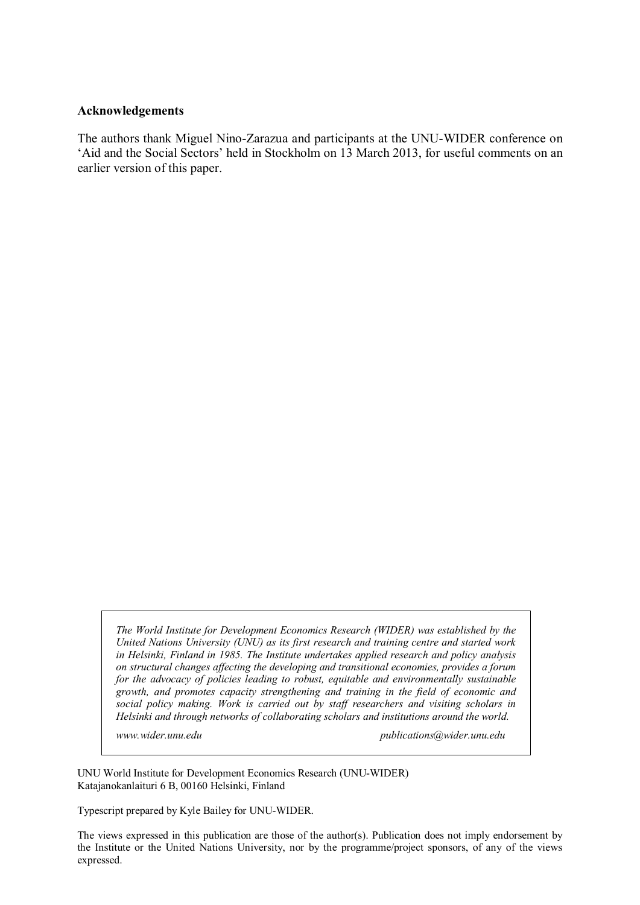#### **Acknowledgements**

The authors thank Miguel Nino-Zarazua and participants at the UNU-WIDER conference on 'Aid and the Social Sectors' held in Stockholm on 13 March 2013, for useful comments on an earlier version of this paper.

*The World Institute for Development Economics Research (WIDER) was established by the United Nations University (UNU) as its first research and training centre and started work in Helsinki, Finland in 1985. The Institute undertakes applied research and policy analysis on structural changes affecting the developing and transitional economies, provides a forum for the advocacy of policies leading to robust, equitable and environmentally sustainable growth, and promotes capacity strengthening and training in the field of economic and social policy making. Work is carried out by staff researchers and visiting scholars in Helsinki and through networks of collaborating scholars and institutions around the world.* 

*www.wider.unu.edu publications@wider.unu.edu* 

UNU World Institute for Development Economics Research (UNU-WIDER) Katajanokanlaituri 6 B, 00160 Helsinki, Finland

Typescript prepared by Kyle Bailey for UNU-WIDER.

The views expressed in this publication are those of the author(s). Publication does not imply endorsement by the Institute or the United Nations University, nor by the programme/project sponsors, of any of the views expressed.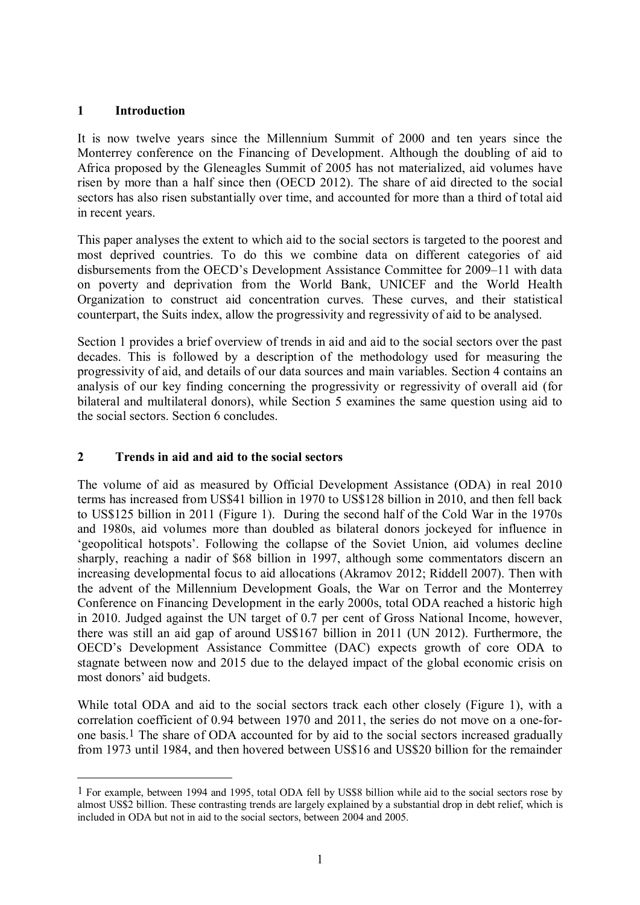## **1 Introduction**

<u>.</u>

It is now twelve years since the Millennium Summit of 2000 and ten years since the Monterrey conference on the Financing of Development. Although the doubling of aid to Africa proposed by the Gleneagles Summit of 2005 has not materialized, aid volumes have risen by more than a half since then (OECD 2012). The share of aid directed to the social sectors has also risen substantially over time, and accounted for more than a third of total aid in recent years.

This paper analyses the extent to which aid to the social sectors is targeted to the poorest and most deprived countries. To do this we combine data on different categories of aid disbursements from the OECD's Development Assistance Committee for 2009–11 with data on poverty and deprivation from the World Bank, UNICEF and the World Health Organization to construct aid concentration curves. These curves, and their statistical counterpart, the Suits index, allow the progressivity and regressivity of aid to be analysed.

Section 1 provides a brief overview of trends in aid and aid to the social sectors over the past decades. This is followed by a description of the methodology used for measuring the progressivity of aid, and details of our data sources and main variables. Section 4 contains an analysis of our key finding concerning the progressivity or regressivity of overall aid (for bilateral and multilateral donors), while Section 5 examines the same question using aid to the social sectors. Section 6 concludes.

## **2 Trends in aid and aid to the social sectors**

The volume of aid as measured by Official Development Assistance (ODA) in real 2010 terms has increased from US\$41 billion in 1970 to US\$128 billion in 2010, and then fell back to US\$125 billion in 2011 (Figure 1). During the second half of the Cold War in the 1970s and 1980s, aid volumes more than doubled as bilateral donors jockeyed for influence in 'geopolitical hotspots'. Following the collapse of the Soviet Union, aid volumes decline sharply, reaching a nadir of \$68 billion in 1997, although some commentators discern an increasing developmental focus to aid allocations (Akramov 2012; Riddell 2007). Then with the advent of the Millennium Development Goals, the War on Terror and the Monterrey Conference on Financing Development in the early 2000s, total ODA reached a historic high in 2010. Judged against the UN target of 0.7 per cent of Gross National Income, however, there was still an aid gap of around US\$167 billion in 2011 (UN 2012). Furthermore, the OECD's Development Assistance Committee (DAC) expects growth of core ODA to stagnate between now and 2015 due to the delayed impact of the global economic crisis on most donors' aid budgets.

While total ODA and aid to the social sectors track each other closely (Figure 1), with a correlation coefficient of 0.94 between 1970 and 2011, the series do not move on a one-forone basis.1 The share of ODA accounted for by aid to the social sectors increased gradually from 1973 until 1984, and then hovered between US\$16 and US\$20 billion for the remainder

<sup>1</sup> For example, between 1994 and 1995, total ODA fell by US\$8 billion while aid to the social sectors rose by almost US\$2 billion. These contrasting trends are largely explained by a substantial drop in debt relief, which is included in ODA but not in aid to the social sectors, between 2004 and 2005.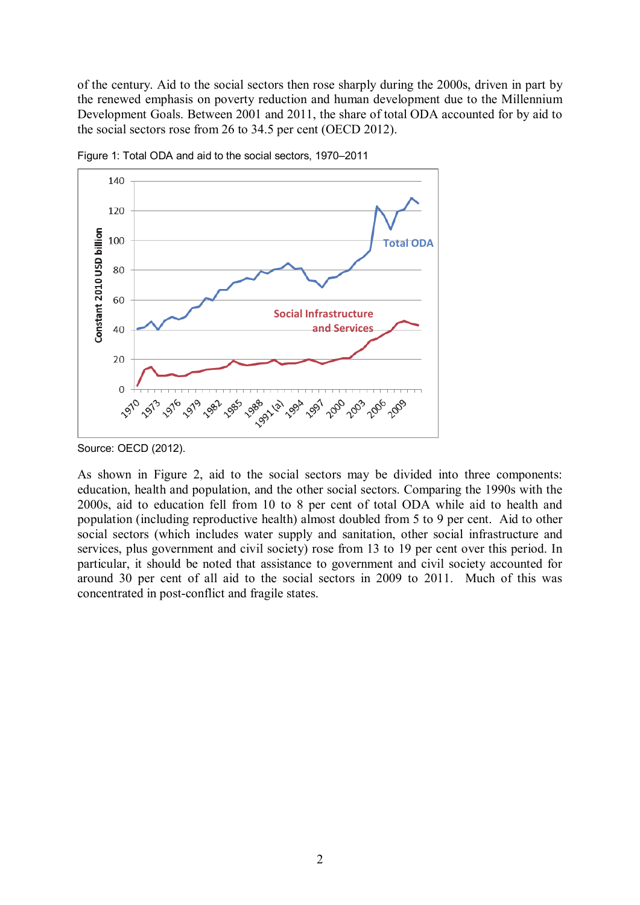of the century. Aid to the social sectors then rose sharply during the 2000s, driven in part by the renewed emphasis on poverty reduction and human development due to the Millennium Development Goals. Between 2001 and 2011, the share of total ODA accounted for by aid to the social sectors rose from 26 to 34.5 per cent (OECD 2012).



Figure 1: Total ODA and aid to the social sectors, 1970–2011

As shown in Figure 2, aid to the social sectors may be divided into three components: education, health and population, and the other social sectors. Comparing the 1990s with the 2000s, aid to education fell from 10 to 8 per cent of total ODA while aid to health and population (including reproductive health) almost doubled from 5 to 9 per cent. Aid to other social sectors (which includes water supply and sanitation, other social infrastructure and services, plus government and civil society) rose from 13 to 19 per cent over this period. In particular, it should be noted that assistance to government and civil society accounted for around 30 per cent of all aid to the social sectors in 2009 to 2011. Much of this was concentrated in post-conflict and fragile states.

Source: OECD (2012).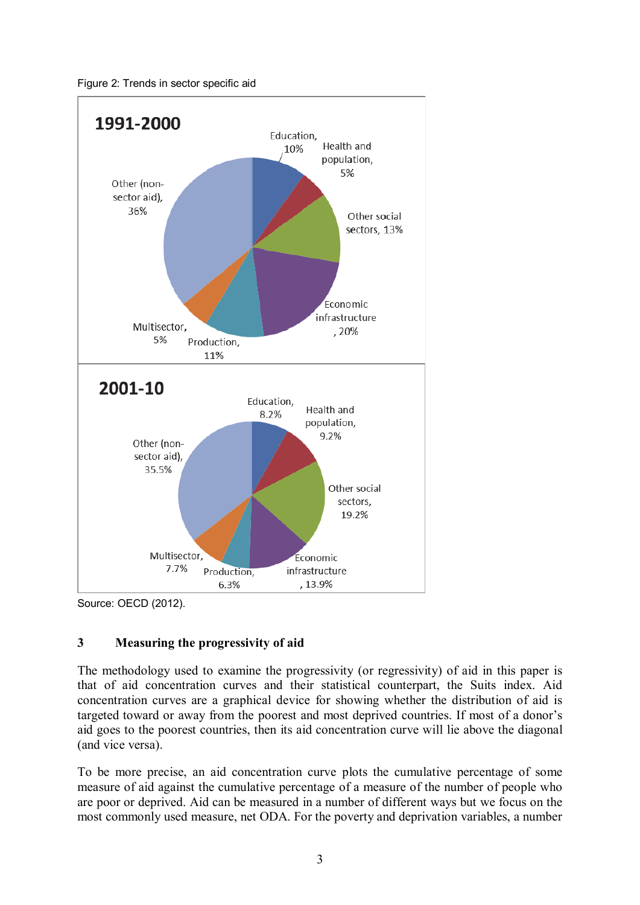

Figure 2: Trends in sector specific aid

Source: OECD (2012).

## **3 Measuring the progressivity of aid**

The methodology used to examine the progressivity (or regressivity) of aid in this paper is that of aid concentration curves and their statistical counterpart, the Suits index. Aid concentration curves are a graphical device for showing whether the distribution of aid is targeted toward or away from the poorest and most deprived countries. If most of a donor's aid goes to the poorest countries, then its aid concentration curve will lie above the diagonal (and vice versa).

To be more precise, an aid concentration curve plots the cumulative percentage of some measure of aid against the cumulative percentage of a measure of the number of people who are poor or deprived. Aid can be measured in a number of different ways but we focus on the most commonly used measure, net ODA. For the poverty and deprivation variables, a number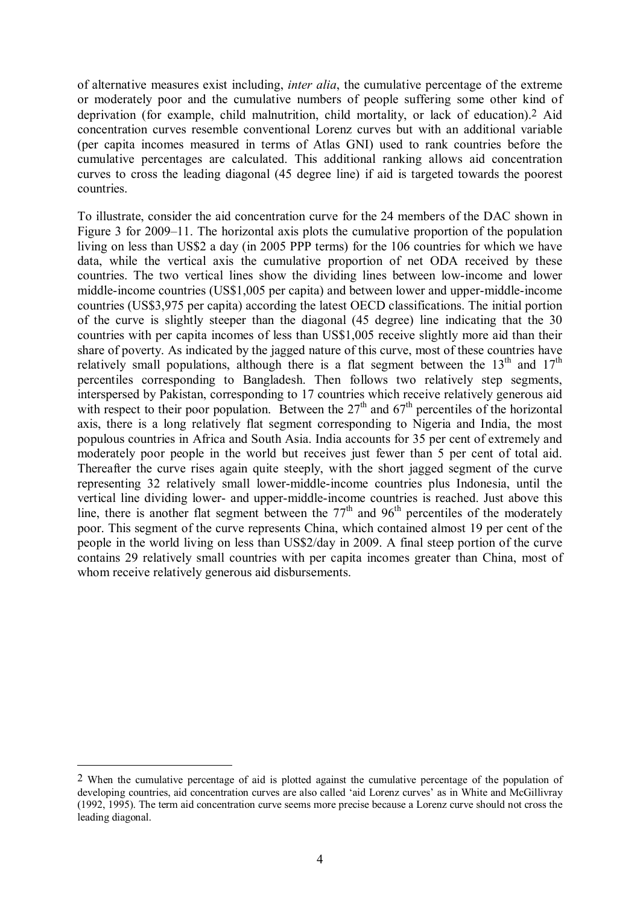of alternative measures exist including, *inter alia*, the cumulative percentage of the extreme or moderately poor and the cumulative numbers of people suffering some other kind of deprivation (for example, child malnutrition, child mortality, or lack of education).2 Aid concentration curves resemble conventional Lorenz curves but with an additional variable (per capita incomes measured in terms of Atlas GNI) used to rank countries before the cumulative percentages are calculated. This additional ranking allows aid concentration curves to cross the leading diagonal (45 degree line) if aid is targeted towards the poorest countries.

To illustrate, consider the aid concentration curve for the 24 members of the DAC shown in Figure 3 for 2009–11. The horizontal axis plots the cumulative proportion of the population living on less than US\$2 a day (in 2005 PPP terms) for the 106 countries for which we have data, while the vertical axis the cumulative proportion of net ODA received by these countries. The two vertical lines show the dividing lines between low-income and lower middle-income countries (US\$1,005 per capita) and between lower and upper-middle-income countries (US\$3,975 per capita) according the latest OECD classifications. The initial portion of the curve is slightly steeper than the diagonal (45 degree) line indicating that the 30 countries with per capita incomes of less than US\$1,005 receive slightly more aid than their share of poverty. As indicated by the jagged nature of this curve, most of these countries have relatively small populations, although there is a flat segment between the  $13<sup>th</sup>$  and  $17<sup>th</sup>$ percentiles corresponding to Bangladesh. Then follows two relatively step segments, interspersed by Pakistan, corresponding to 17 countries which receive relatively generous aid with respect to their poor population. Between the  $27<sup>th</sup>$  and  $67<sup>th</sup>$  percentiles of the horizontal axis, there is a long relatively flat segment corresponding to Nigeria and India, the most populous countries in Africa and South Asia. India accounts for 35 per cent of extremely and moderately poor people in the world but receives just fewer than 5 per cent of total aid. Thereafter the curve rises again quite steeply, with the short jagged segment of the curve representing 32 relatively small lower-middle-income countries plus Indonesia, until the vertical line dividing lower- and upper-middle-income countries is reached. Just above this line, there is another flat segment between the  $77<sup>th</sup>$  and  $96<sup>th</sup>$  percentiles of the moderately poor. This segment of the curve represents China, which contained almost 19 per cent of the people in the world living on less than US\$2/day in 2009. A final steep portion of the curve contains 29 relatively small countries with per capita incomes greater than China, most of whom receive relatively generous aid disbursements.

<u>.</u>

<sup>2</sup> When the cumulative percentage of aid is plotted against the cumulative percentage of the population of developing countries, aid concentration curves are also called 'aid Lorenz curves' as in White and McGillivray (1992, 1995). The term aid concentration curve seems more precise because a Lorenz curve should not cross the leading diagonal.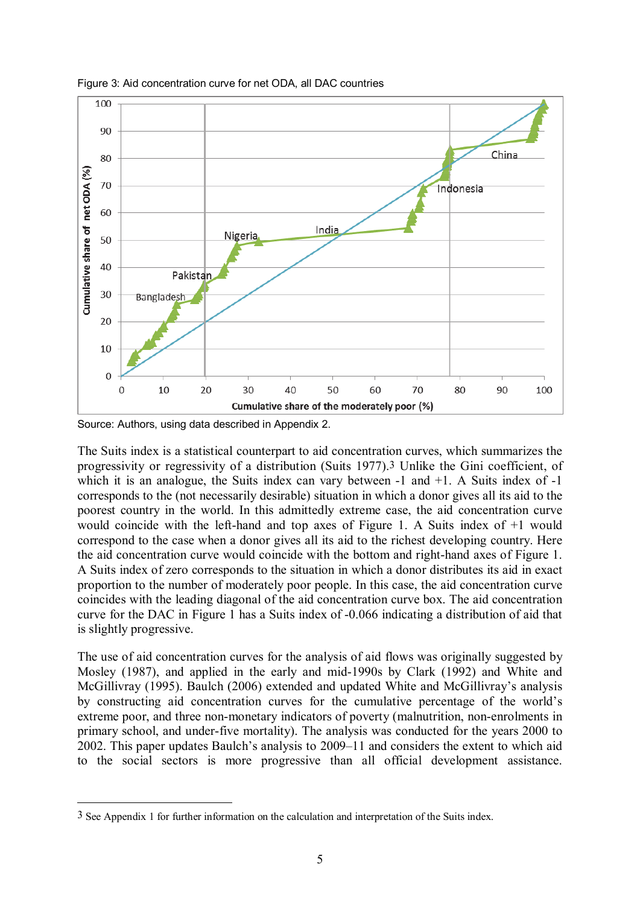

Figure 3: Aid concentration curve for net ODA, all DAC countries

Source: Authors, using data described in Appendix 2.

1

The Suits index is a statistical counterpart to aid concentration curves, which summarizes the progressivity or regressivity of a distribution (Suits 1977).3 Unlike the Gini coefficient, of which it is an analogue, the Suits index can vary between -1 and +1. A Suits index of -1 corresponds to the (not necessarily desirable) situation in which a donor gives all its aid to the poorest country in the world. In this admittedly extreme case, the aid concentration curve would coincide with the left-hand and top axes of Figure 1. A Suits index of +1 would correspond to the case when a donor gives all its aid to the richest developing country. Here the aid concentration curve would coincide with the bottom and right-hand axes of Figure 1. A Suits index of zero corresponds to the situation in which a donor distributes its aid in exact proportion to the number of moderately poor people. In this case, the aid concentration curve coincides with the leading diagonal of the aid concentration curve box. The aid concentration curve for the DAC in Figure 1 has a Suits index of -0.066 indicating a distribution of aid that is slightly progressive.

The use of aid concentration curves for the analysis of aid flows was originally suggested by Mosley (1987), and applied in the early and mid-1990s by Clark (1992) and White and McGillivray (1995). Baulch (2006) extended and updated White and McGillivray's analysis by constructing aid concentration curves for the cumulative percentage of the world's extreme poor, and three non-monetary indicators of poverty (malnutrition, non-enrolments in primary school, and under-five mortality). The analysis was conducted for the years 2000 to 2002. This paper updates Baulch's analysis to 2009–11 and considers the extent to which aid to the social sectors is more progressive than all official development assistance.

<sup>3</sup> See Appendix 1 for further information on the calculation and interpretation of the Suits index.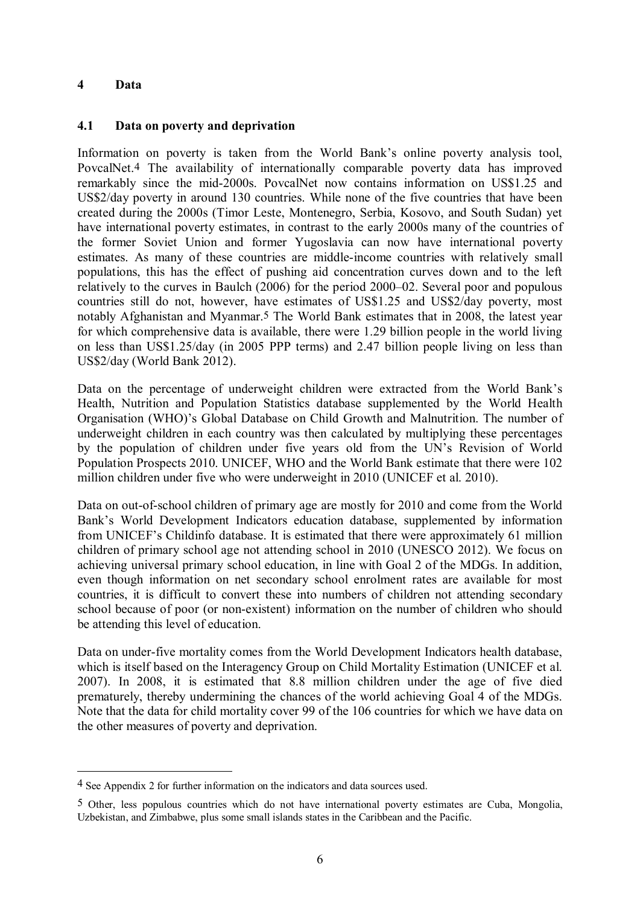#### **4 Data**

<u>.</u>

#### **4.1 Data on poverty and deprivation**

Information on poverty is taken from the World Bank's online poverty analysis tool, PovcalNet.4 The availability of internationally comparable poverty data has improved remarkably since the mid-2000s. PovcalNet now contains information on US\$1.25 and US\$2/day poverty in around 130 countries. While none of the five countries that have been created during the 2000s (Timor Leste, Montenegro, Serbia, Kosovo, and South Sudan) yet have international poverty estimates, in contrast to the early 2000s many of the countries of the former Soviet Union and former Yugoslavia can now have international poverty estimates. As many of these countries are middle-income countries with relatively small populations, this has the effect of pushing aid concentration curves down and to the left relatively to the curves in Baulch (2006) for the period 2000–02. Several poor and populous countries still do not, however, have estimates of US\$1.25 and US\$2/day poverty, most notably Afghanistan and Myanmar.5 The World Bank estimates that in 2008, the latest year for which comprehensive data is available, there were 1.29 billion people in the world living on less than US\$1.25/day (in 2005 PPP terms) and 2.47 billion people living on less than US\$2/day (World Bank 2012).

Data on the percentage of underweight children were extracted from the World Bank's Health, Nutrition and Population Statistics database supplemented by the World Health Organisation (WHO)'s Global Database on Child Growth and Malnutrition. The number of underweight children in each country was then calculated by multiplying these percentages by the population of children under five years old from the UN's Revision of World Population Prospects 2010. UNICEF, WHO and the World Bank estimate that there were 102 million children under five who were underweight in 2010 (UNICEF et al. 2010).

Data on out-of-school children of primary age are mostly for 2010 and come from the World Bank's World Development Indicators education database, supplemented by information from UNICEF's Childinfo database. It is estimated that there were approximately 61 million children of primary school age not attending school in 2010 (UNESCO 2012). We focus on achieving universal primary school education, in line with Goal 2 of the MDGs. In addition, even though information on net secondary school enrolment rates are available for most countries, it is difficult to convert these into numbers of children not attending secondary school because of poor (or non-existent) information on the number of children who should be attending this level of education.

Data on under-five mortality comes from the World Development Indicators health database, which is itself based on the Interagency Group on Child Mortality Estimation (UNICEF et al. 2007). In 2008, it is estimated that 8.8 million children under the age of five died prematurely, thereby undermining the chances of the world achieving Goal 4 of the MDGs. Note that the data for child mortality cover 99 of the 106 countries for which we have data on the other measures of poverty and deprivation.

<sup>4</sup> See Appendix 2 for further information on the indicators and data sources used.

<sup>5</sup> Other, less populous countries which do not have international poverty estimates are Cuba, Mongolia, Uzbekistan, and Zimbabwe, plus some small islands states in the Caribbean and the Pacific.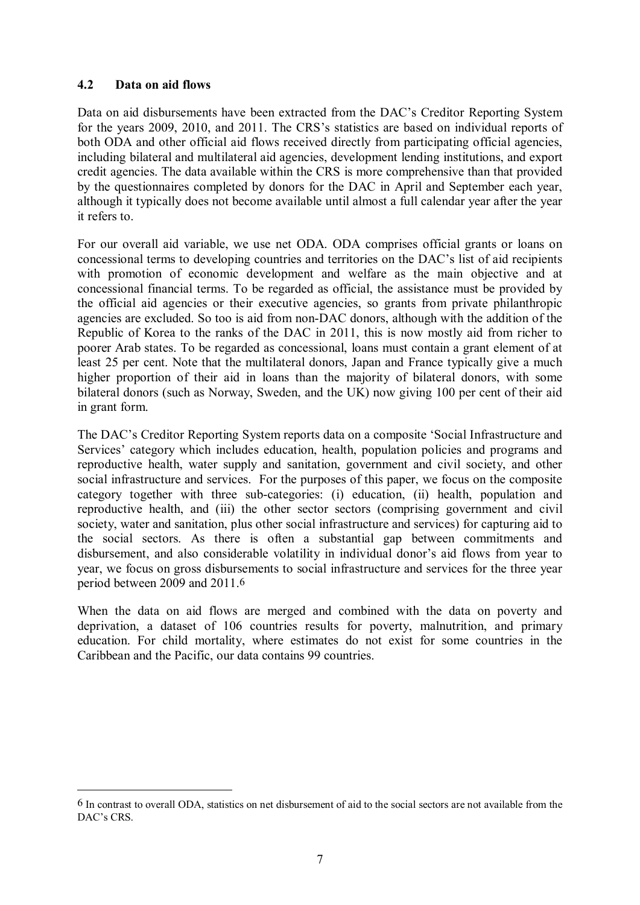### **4.2 Data on aid flows**

1

Data on aid disbursements have been extracted from the DAC's Creditor Reporting System for the years 2009, 2010, and 2011. The CRS's statistics are based on individual reports of both ODA and other official aid flows received directly from participating official agencies, including bilateral and multilateral aid agencies, development lending institutions, and export credit agencies. The data available within the CRS is more comprehensive than that provided by the questionnaires completed by donors for the DAC in April and September each year, although it typically does not become available until almost a full calendar year after the year it refers to.

For our overall aid variable, we use net ODA. ODA comprises official grants or loans on concessional terms to developing countries and territories on the DAC's list of aid recipients with promotion of economic development and welfare as the main objective and at concessional financial terms. To be regarded as official, the assistance must be provided by the official aid agencies or their executive agencies, so grants from private philanthropic agencies are excluded. So too is aid from non-DAC donors, although with the addition of the Republic of Korea to the ranks of the DAC in 2011, this is now mostly aid from richer to poorer Arab states. To be regarded as concessional, loans must contain a grant element of at least 25 per cent. Note that the multilateral donors, Japan and France typically give a much higher proportion of their aid in loans than the majority of bilateral donors, with some bilateral donors (such as Norway, Sweden, and the UK) now giving 100 per cent of their aid in grant form.

The DAC's Creditor Reporting System reports data on a composite 'Social Infrastructure and Services' category which includes education, health, population policies and programs and reproductive health, water supply and sanitation, government and civil society, and other social infrastructure and services. For the purposes of this paper, we focus on the composite category together with three sub-categories: (i) education, (ii) health, population and reproductive health, and (iii) the other sector sectors (comprising government and civil society, water and sanitation, plus other social infrastructure and services) for capturing aid to the social sectors. As there is often a substantial gap between commitments and disbursement, and also considerable volatility in individual donor's aid flows from year to year, we focus on gross disbursements to social infrastructure and services for the three year period between 2009 and 2011.6

When the data on aid flows are merged and combined with the data on poverty and deprivation, a dataset of 106 countries results for poverty, malnutrition, and primary education. For child mortality, where estimates do not exist for some countries in the Caribbean and the Pacific, our data contains 99 countries.

<sup>6</sup> In contrast to overall ODA, statistics on net disbursement of aid to the social sectors are not available from the DAC's CRS.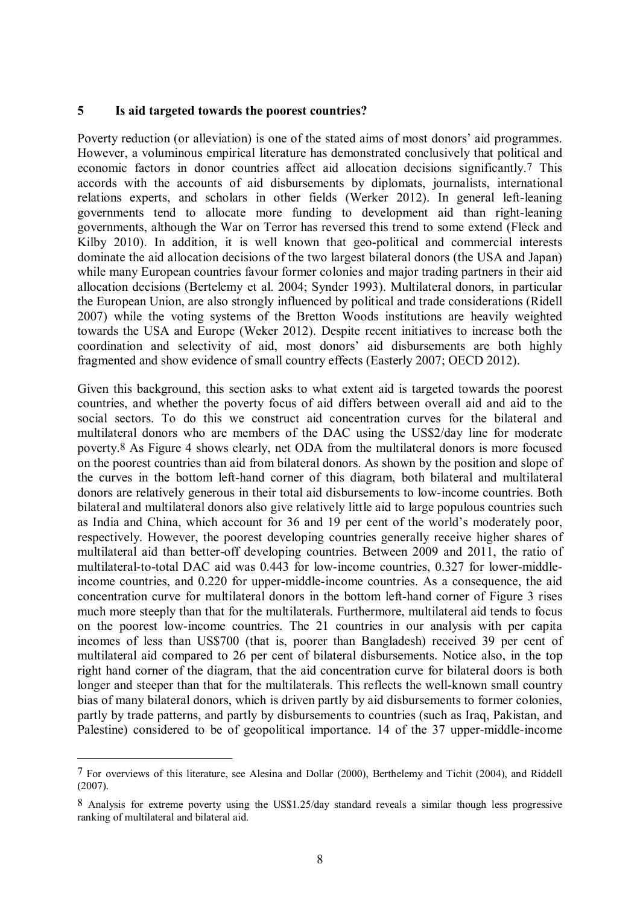#### **5 Is aid targeted towards the poorest countries?**

Poverty reduction (or alleviation) is one of the stated aims of most donors' aid programmes. However, a voluminous empirical literature has demonstrated conclusively that political and economic factors in donor countries affect aid allocation decisions significantly.7 This accords with the accounts of aid disbursements by diplomats, journalists, international relations experts, and scholars in other fields (Werker 2012). In general left-leaning governments tend to allocate more funding to development aid than right-leaning governments, although the War on Terror has reversed this trend to some extend (Fleck and Kilby 2010). In addition, it is well known that geo-political and commercial interests dominate the aid allocation decisions of the two largest bilateral donors (the USA and Japan) while many European countries favour former colonies and major trading partners in their aid allocation decisions (Bertelemy et al. 2004; Synder 1993). Multilateral donors, in particular the European Union, are also strongly influenced by political and trade considerations (Ridell 2007) while the voting systems of the Bretton Woods institutions are heavily weighted towards the USA and Europe (Weker 2012). Despite recent initiatives to increase both the coordination and selectivity of aid, most donors' aid disbursements are both highly fragmented and show evidence of small country effects (Easterly 2007; OECD 2012).

Given this background, this section asks to what extent aid is targeted towards the poorest countries, and whether the poverty focus of aid differs between overall aid and aid to the social sectors. To do this we construct aid concentration curves for the bilateral and multilateral donors who are members of the DAC using the US\$2/day line for moderate poverty.8 As Figure 4 shows clearly, net ODA from the multilateral donors is more focused on the poorest countries than aid from bilateral donors. As shown by the position and slope of the curves in the bottom left-hand corner of this diagram, both bilateral and multilateral donors are relatively generous in their total aid disbursements to low-income countries. Both bilateral and multilateral donors also give relatively little aid to large populous countries such as India and China, which account for 36 and 19 per cent of the world's moderately poor, respectively. However, the poorest developing countries generally receive higher shares of multilateral aid than better-off developing countries. Between 2009 and 2011, the ratio of multilateral-to-total DAC aid was 0.443 for low-income countries, 0.327 for lower-middleincome countries, and 0.220 for upper-middle-income countries. As a consequence, the aid concentration curve for multilateral donors in the bottom left-hand corner of Figure 3 rises much more steeply than that for the multilaterals. Furthermore, multilateral aid tends to focus on the poorest low-income countries. The 21 countries in our analysis with per capita incomes of less than US\$700 (that is, poorer than Bangladesh) received 39 per cent of multilateral aid compared to 26 per cent of bilateral disbursements. Notice also, in the top right hand corner of the diagram, that the aid concentration curve for bilateral doors is both longer and steeper than that for the multilaterals. This reflects the well-known small country bias of many bilateral donors, which is driven partly by aid disbursements to former colonies, partly by trade patterns, and partly by disbursements to countries (such as Iraq, Pakistan, and Palestine) considered to be of geopolitical importance. 14 of the 37 upper-middle-income

<u>.</u>

<sup>7</sup> For overviews of this literature, see Alesina and Dollar (2000), Berthelemy and Tichit (2004), and Riddell  $(2007)$ .

<sup>8</sup> Analysis for extreme poverty using the US\$1.25/day standard reveals a similar though less progressive ranking of multilateral and bilateral aid.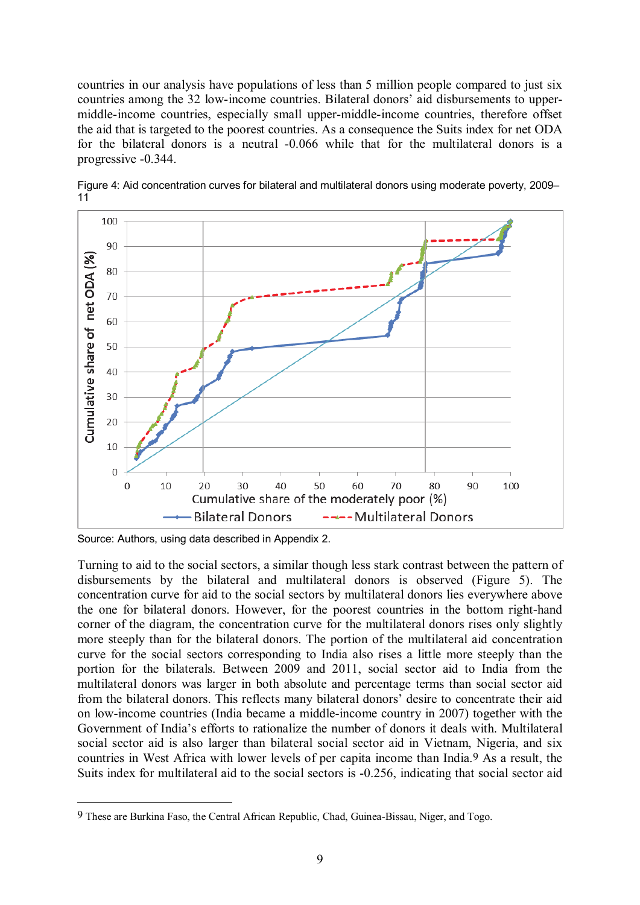countries in our analysis have populations of less than 5 million people compared to just six countries among the 32 low-income countries. Bilateral donors' aid disbursements to uppermiddle-income countries, especially small upper-middle-income countries, therefore offset the aid that is targeted to the poorest countries. As a consequence the Suits index for net ODA for the bilateral donors is a neutral -0.066 while that for the multilateral donors is a progressive -0.344.



Figure 4: Aid concentration curves for bilateral and multilateral donors using moderate poverty, 2009– 11

Source: Authors, using data described in Appendix 2.

1

Turning to aid to the social sectors, a similar though less stark contrast between the pattern of disbursements by the bilateral and multilateral donors is observed (Figure 5). The concentration curve for aid to the social sectors by multilateral donors lies everywhere above the one for bilateral donors. However, for the poorest countries in the bottom right-hand corner of the diagram, the concentration curve for the multilateral donors rises only slightly more steeply than for the bilateral donors. The portion of the multilateral aid concentration curve for the social sectors corresponding to India also rises a little more steeply than the portion for the bilaterals. Between 2009 and 2011, social sector aid to India from the multilateral donors was larger in both absolute and percentage terms than social sector aid from the bilateral donors. This reflects many bilateral donors' desire to concentrate their aid on low-income countries (India became a middle-income country in 2007) together with the Government of India's efforts to rationalize the number of donors it deals with. Multilateral social sector aid is also larger than bilateral social sector aid in Vietnam, Nigeria, and six countries in West Africa with lower levels of per capita income than India.9 As a result, the Suits index for multilateral aid to the social sectors is -0.256, indicating that social sector aid

<sup>9</sup> These are Burkina Faso, the Central African Republic, Chad, Guinea-Bissau, Niger, and Togo.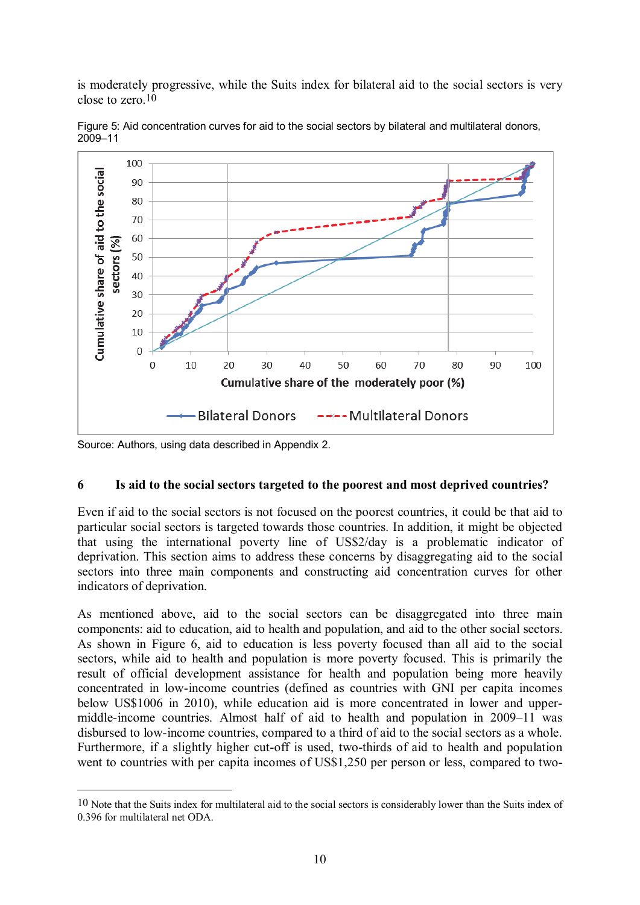is moderately progressive, while the Suits index for bilateral aid to the social sectors is very close to zero.10



Figure 5: Aid concentration curves for aid to the social sectors by bilateral and multilateral donors, 2009–11

Source: Authors, using data described in Appendix 2.

1

## **6 Is aid to the social sectors targeted to the poorest and most deprived countries?**

Even if aid to the social sectors is not focused on the poorest countries, it could be that aid to particular social sectors is targeted towards those countries. In addition, it might be objected that using the international poverty line of US\$2/day is a problematic indicator of deprivation. This section aims to address these concerns by disaggregating aid to the social sectors into three main components and constructing aid concentration curves for other indicators of deprivation.

As mentioned above, aid to the social sectors can be disaggregated into three main components: aid to education, aid to health and population, and aid to the other social sectors. As shown in Figure 6, aid to education is less poverty focused than all aid to the social sectors, while aid to health and population is more poverty focused. This is primarily the result of official development assistance for health and population being more heavily concentrated in low-income countries (defined as countries with GNI per capita incomes below US\$1006 in 2010), while education aid is more concentrated in lower and uppermiddle-income countries. Almost half of aid to health and population in 2009–11 was disbursed to low-income countries, compared to a third of aid to the social sectors as a whole. Furthermore, if a slightly higher cut-off is used, two-thirds of aid to health and population went to countries with per capita incomes of US\$1,250 per person or less, compared to two-

<sup>10</sup> Note that the Suits index for multilateral aid to the social sectors is considerably lower than the Suits index of 0.396 for multilateral net ODA.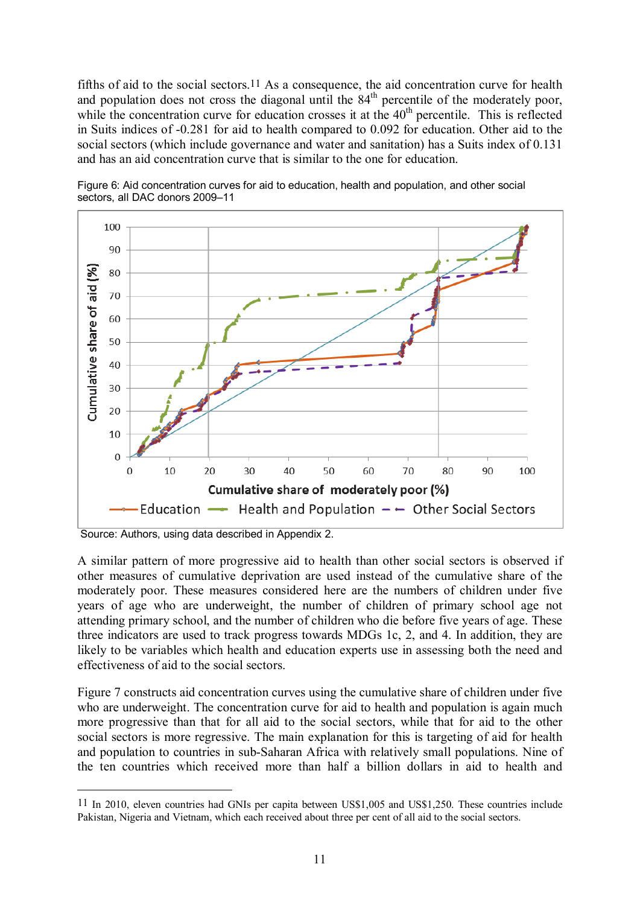fifths of aid to the social sectors.<sup>11</sup> As a consequence, the aid concentration curve for health and population does not cross the diagonal until the  $84<sup>th</sup>$  percentile of the moderately poor, while the concentration curve for education crosses it at the  $40<sup>th</sup>$  percentile. This is reflected in Suits indices of -0.281 for aid to health compared to 0.092 for education. Other aid to the social sectors (which include governance and water and sanitation) has a Suits index of 0.131 and has an aid concentration curve that is similar to the one for education.



Figure 6: Aid concentration curves for aid to education, health and population, and other social sectors, all DAC donors 2009–11

Source: Authors, using data described in Appendix 2.

1

A similar pattern of more progressive aid to health than other social sectors is observed if other measures of cumulative deprivation are used instead of the cumulative share of the moderately poor. These measures considered here are the numbers of children under five years of age who are underweight, the number of children of primary school age not attending primary school, and the number of children who die before five years of age. These three indicators are used to track progress towards MDGs 1c, 2, and 4. In addition, they are likely to be variables which health and education experts use in assessing both the need and effectiveness of aid to the social sectors.

Figure 7 constructs aid concentration curves using the cumulative share of children under five who are underweight. The concentration curve for aid to health and population is again much more progressive than that for all aid to the social sectors, while that for aid to the other social sectors is more regressive. The main explanation for this is targeting of aid for health and population to countries in sub-Saharan Africa with relatively small populations. Nine of the ten countries which received more than half a billion dollars in aid to health and

<sup>11</sup> In 2010, eleven countries had GNIs per capita between US\$1,005 and US\$1,250. These countries include Pakistan, Nigeria and Vietnam, which each received about three per cent of all aid to the social sectors.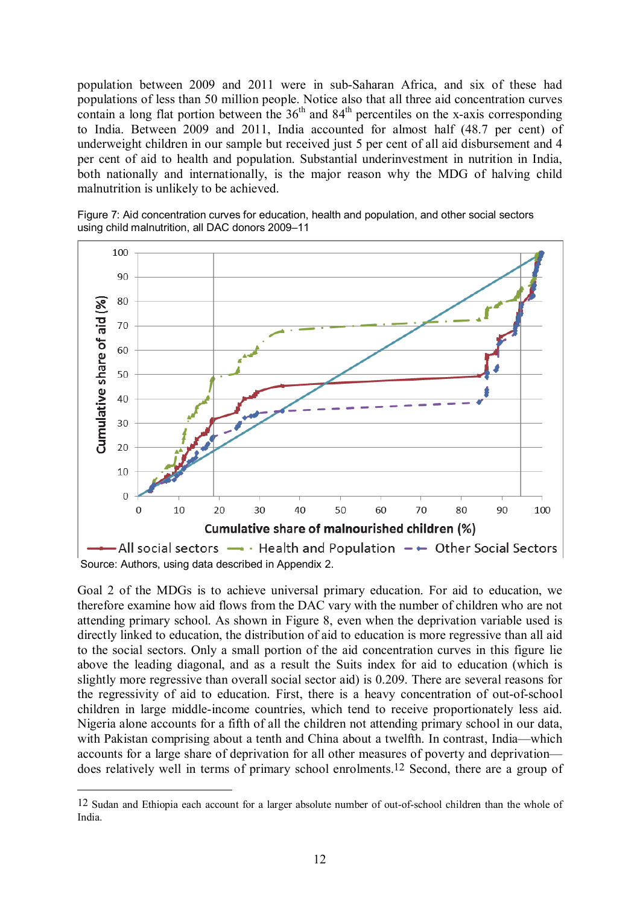population between 2009 and 2011 were in sub-Saharan Africa, and six of these had populations of less than 50 million people. Notice also that all three aid concentration curves contain a long flat portion between the  $36<sup>th</sup>$  and  $84<sup>th</sup>$  percentiles on the x-axis corresponding to India. Between 2009 and 2011, India accounted for almost half (48.7 per cent) of underweight children in our sample but received just 5 per cent of all aid disbursement and 4 per cent of aid to health and population. Substantial underinvestment in nutrition in India, both nationally and internationally, is the major reason why the MDG of halving child malnutrition is unlikely to be achieved.





Goal 2 of the MDGs is to achieve universal primary education. For aid to education, we therefore examine how aid flows from the DAC vary with the number of children who are not attending primary school. As shown in Figure 8, even when the deprivation variable used is directly linked to education, the distribution of aid to education is more regressive than all aid to the social sectors. Only a small portion of the aid concentration curves in this figure lie above the leading diagonal, and as a result the Suits index for aid to education (which is slightly more regressive than overall social sector aid) is 0.209. There are several reasons for the regressivity of aid to education. First, there is a heavy concentration of out-of-school children in large middle-income countries, which tend to receive proportionately less aid. Nigeria alone accounts for a fifth of all the children not attending primary school in our data, with Pakistan comprising about a tenth and China about a twelfth. In contrast, India—which accounts for a large share of deprivation for all other measures of poverty and deprivation does relatively well in terms of primary school enrolments.12 Second, there are a group of

1

<sup>12</sup> Sudan and Ethiopia each account for a larger absolute number of out-of-school children than the whole of India.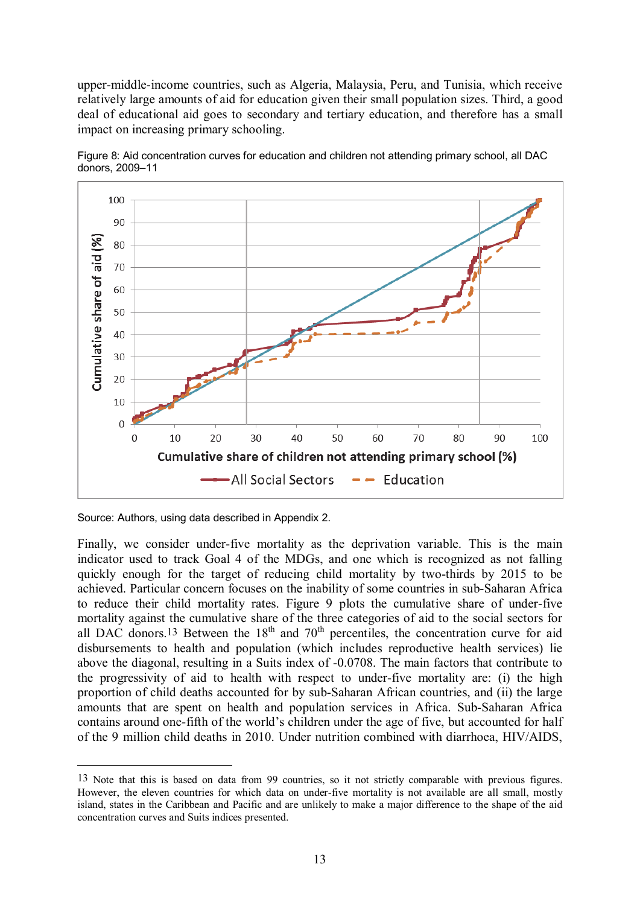upper-middle-income countries, such as Algeria, Malaysia, Peru, and Tunisia, which receive relatively large amounts of aid for education given their small population sizes. Third, a good deal of educational aid goes to secondary and tertiary education, and therefore has a small impact on increasing primary schooling.



Figure 8: Aid concentration curves for education and children not attending primary school, all DAC donors, 2009–11

<u>.</u>

Finally, we consider under-five mortality as the deprivation variable. This is the main indicator used to track Goal 4 of the MDGs, and one which is recognized as not falling quickly enough for the target of reducing child mortality by two-thirds by 2015 to be achieved. Particular concern focuses on the inability of some countries in sub-Saharan Africa to reduce their child mortality rates. Figure 9 plots the cumulative share of under-five mortality against the cumulative share of the three categories of aid to the social sectors for all DAC donors.<sup>13</sup> Between the  $18<sup>th</sup>$  and  $70<sup>th</sup>$  percentiles, the concentration curve for aid disbursements to health and population (which includes reproductive health services) lie above the diagonal, resulting in a Suits index of -0.0708. The main factors that contribute to the progressivity of aid to health with respect to under-five mortality are: (i) the high proportion of child deaths accounted for by sub-Saharan African countries, and (ii) the large amounts that are spent on health and population services in Africa. Sub-Saharan Africa contains around one-fifth of the world's children under the age of five, but accounted for half of the 9 million child deaths in 2010. Under nutrition combined with diarrhoea, HIV/AIDS,

Source: Authors, using data described in Appendix 2.

<sup>13</sup> Note that this is based on data from 99 countries, so it not strictly comparable with previous figures. However, the eleven countries for which data on under-five mortality is not available are all small, mostly island, states in the Caribbean and Pacific and are unlikely to make a major difference to the shape of the aid concentration curves and Suits indices presented.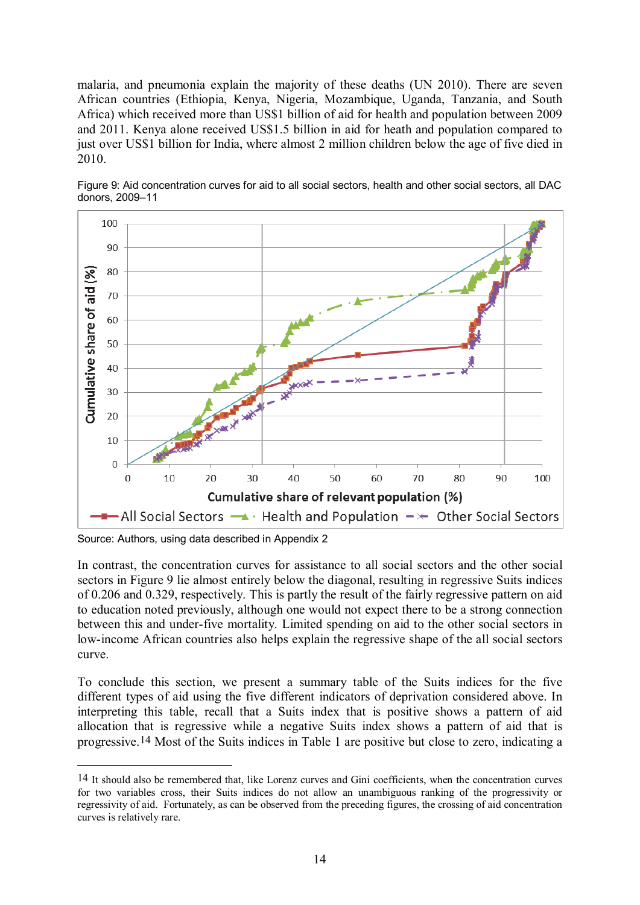malaria, and pneumonia explain the majority of these deaths (UN 2010). There are seven African countries (Ethiopia, Kenya, Nigeria, Mozambique, Uganda, Tanzania, and South Africa) which received more than US\$1 billion of aid for health and population between 2009 and 2011. Kenya alone received US\$1.5 billion in aid for heath and population compared to just over US\$1 billion for India, where almost 2 million children below the age of five died in 2010.



Figure 9: Aid concentration curves for aid to all social sectors, health and other social sectors, all DAC donors, 2009–11

Source: Authors, using data described in Appendix 2

<u>.</u>

In contrast, the concentration curves for assistance to all social sectors and the other social sectors in Figure 9 lie almost entirely below the diagonal, resulting in regressive Suits indices of 0.206 and 0.329, respectively. This is partly the result of the fairly regressive pattern on aid to education noted previously, although one would not expect there to be a strong connection between this and under-five mortality. Limited spending on aid to the other social sectors in low-income African countries also helps explain the regressive shape of the all social sectors curve.

To conclude this section, we present a summary table of the Suits indices for the five different types of aid using the five different indicators of deprivation considered above. In interpreting this table, recall that a Suits index that is positive shows a pattern of aid allocation that is regressive while a negative Suits index shows a pattern of aid that is progressive.14 Most of the Suits indices in Table 1 are positive but close to zero, indicating a

<sup>14</sup> It should also be remembered that, like Lorenz curves and Gini coefficients, when the concentration curves for two variables cross, their Suits indices do not allow an unambiguous ranking of the progressivity or regressivity of aid. Fortunately, as can be observed from the preceding figures, the crossing of aid concentration curves is relatively rare.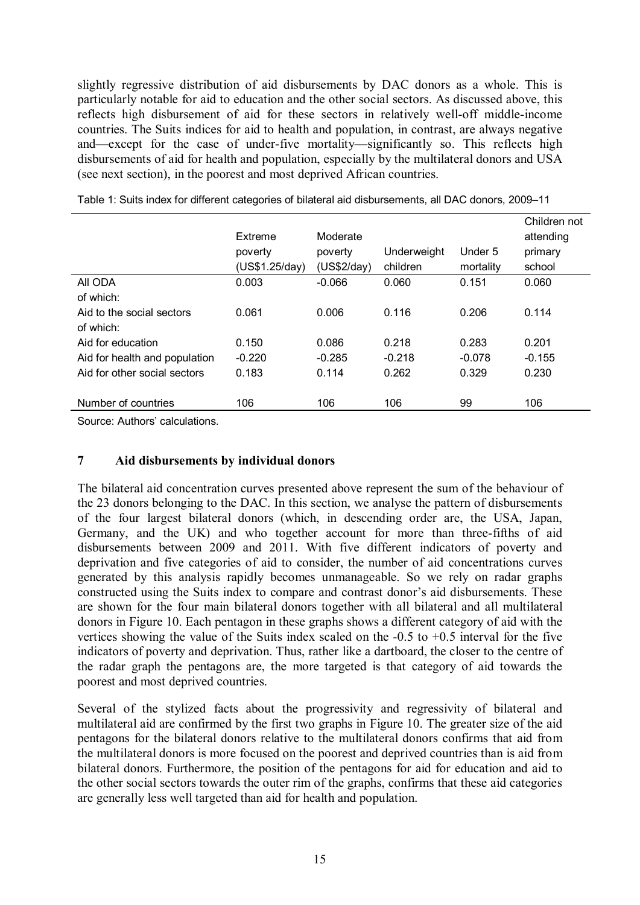slightly regressive distribution of aid disbursements by DAC donors as a whole. This is particularly notable for aid to education and the other social sectors. As discussed above, this reflects high disbursement of aid for these sectors in relatively well-off middle-income countries. The Suits indices for aid to health and population, in contrast, are always negative and—except for the case of under-five mortality—significantly so. This reflects high disbursements of aid for health and population, especially by the multilateral donors and USA (see next section), in the poorest and most deprived African countries.

|                               | Extreme<br>poverty<br>(US\$1.25/day) | Moderate<br>poverty<br>(US\$2/day) | Underweight<br>children | Under 5<br>mortality | Children not<br>attending<br>primary<br>school |
|-------------------------------|--------------------------------------|------------------------------------|-------------------------|----------------------|------------------------------------------------|
| AII ODA                       | 0.003                                | $-0.066$                           | 0.060                   | 0.151                | 0.060                                          |
| of which:                     |                                      |                                    |                         |                      |                                                |
| Aid to the social sectors     | 0.061                                | 0.006                              | 0.116                   | 0.206                | 0.114                                          |
| of which:                     |                                      |                                    |                         |                      |                                                |
| Aid for education             | 0.150                                | 0.086                              | 0.218                   | 0.283                | 0.201                                          |
| Aid for health and population | $-0.220$                             | $-0.285$                           | $-0.218$                | $-0.078$             | $-0.155$                                       |
| Aid for other social sectors  | 0.183                                | 0.114                              | 0.262                   | 0.329                | 0.230                                          |
|                               |                                      |                                    |                         |                      |                                                |
| Number of countries           | 106                                  | 106                                | 106                     | 99                   | 106                                            |

Table 1: Suits index for different categories of bilateral aid disbursements, all DAC donors, 2009–11

Source: Authors' calculations.

#### **7 Aid disbursements by individual donors**

The bilateral aid concentration curves presented above represent the sum of the behaviour of the 23 donors belonging to the DAC. In this section, we analyse the pattern of disbursements of the four largest bilateral donors (which, in descending order are, the USA, Japan, Germany, and the UK) and who together account for more than three-fifths of aid disbursements between 2009 and 2011. With five different indicators of poverty and deprivation and five categories of aid to consider, the number of aid concentrations curves generated by this analysis rapidly becomes unmanageable. So we rely on radar graphs constructed using the Suits index to compare and contrast donor's aid disbursements. These are shown for the four main bilateral donors together with all bilateral and all multilateral donors in Figure 10. Each pentagon in these graphs shows a different category of aid with the vertices showing the value of the Suits index scaled on the  $-0.5$  to  $+0.5$  interval for the five indicators of poverty and deprivation. Thus, rather like a dartboard, the closer to the centre of the radar graph the pentagons are, the more targeted is that category of aid towards the poorest and most deprived countries.

Several of the stylized facts about the progressivity and regressivity of bilateral and multilateral aid are confirmed by the first two graphs in Figure 10. The greater size of the aid pentagons for the bilateral donors relative to the multilateral donors confirms that aid from the multilateral donors is more focused on the poorest and deprived countries than is aid from bilateral donors. Furthermore, the position of the pentagons for aid for education and aid to the other social sectors towards the outer rim of the graphs, confirms that these aid categories are generally less well targeted than aid for health and population.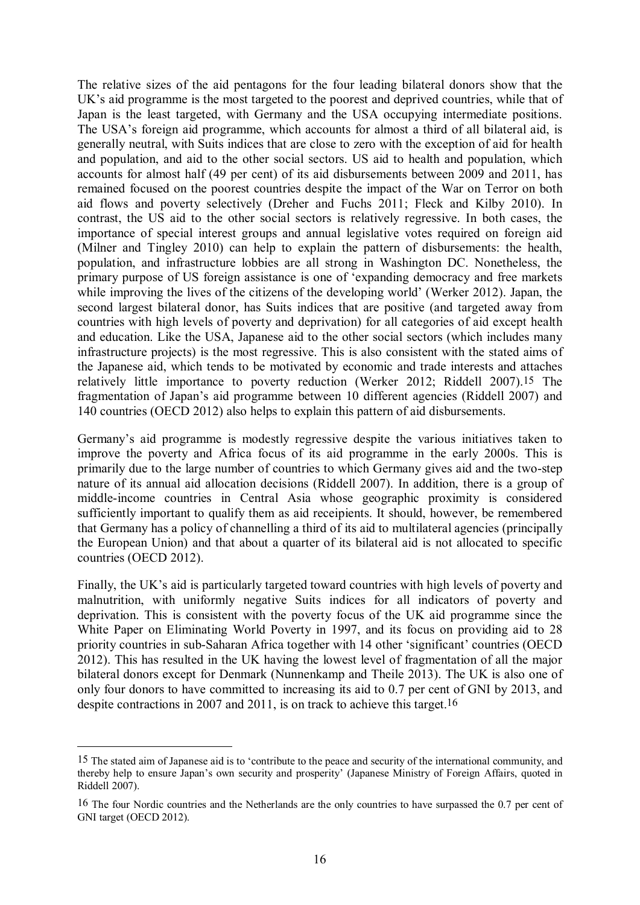The relative sizes of the aid pentagons for the four leading bilateral donors show that the UK's aid programme is the most targeted to the poorest and deprived countries, while that of Japan is the least targeted, with Germany and the USA occupying intermediate positions. The USA's foreign aid programme, which accounts for almost a third of all bilateral aid, is generally neutral, with Suits indices that are close to zero with the exception of aid for health and population, and aid to the other social sectors. US aid to health and population, which accounts for almost half (49 per cent) of its aid disbursements between 2009 and 2011, has remained focused on the poorest countries despite the impact of the War on Terror on both aid flows and poverty selectively (Dreher and Fuchs 2011; Fleck and Kilby 2010). In contrast, the US aid to the other social sectors is relatively regressive. In both cases, the importance of special interest groups and annual legislative votes required on foreign aid (Milner and Tingley 2010) can help to explain the pattern of disbursements: the health, population, and infrastructure lobbies are all strong in Washington DC. Nonetheless, the primary purpose of US foreign assistance is one of 'expanding democracy and free markets while improving the lives of the citizens of the developing world' (Werker 2012). Japan, the second largest bilateral donor, has Suits indices that are positive (and targeted away from countries with high levels of poverty and deprivation) for all categories of aid except health and education. Like the USA, Japanese aid to the other social sectors (which includes many infrastructure projects) is the most regressive. This is also consistent with the stated aims of the Japanese aid, which tends to be motivated by economic and trade interests and attaches relatively little importance to poverty reduction (Werker 2012; Riddell 2007).15 The fragmentation of Japan's aid programme between 10 different agencies (Riddell 2007) and 140 countries (OECD 2012) also helps to explain this pattern of aid disbursements.

Germany's aid programme is modestly regressive despite the various initiatives taken to improve the poverty and Africa focus of its aid programme in the early 2000s. This is primarily due to the large number of countries to which Germany gives aid and the two-step nature of its annual aid allocation decisions (Riddell 2007). In addition, there is a group of middle-income countries in Central Asia whose geographic proximity is considered sufficiently important to qualify them as aid receipients. It should, however, be remembered that Germany has a policy of channelling a third of its aid to multilateral agencies (principally the European Union) and that about a quarter of its bilateral aid is not allocated to specific countries (OECD 2012).

Finally, the UK's aid is particularly targeted toward countries with high levels of poverty and malnutrition, with uniformly negative Suits indices for all indicators of poverty and deprivation. This is consistent with the poverty focus of the UK aid programme since the White Paper on Eliminating World Poverty in 1997, and its focus on providing aid to 28 priority countries in sub-Saharan Africa together with 14 other 'significant' countries (OECD 2012). This has resulted in the UK having the lowest level of fragmentation of all the major bilateral donors except for Denmark (Nunnenkamp and Theile 2013). The UK is also one of only four donors to have committed to increasing its aid to 0.7 per cent of GNI by 2013, and despite contractions in 2007 and 2011, is on track to achieve this target.16

1

<sup>15</sup> The stated aim of Japanese aid is to 'contribute to the peace and security of the international community, and thereby help to ensure Japan's own security and prosperity' (Japanese Ministry of Foreign Affairs, quoted in Riddell 2007).

<sup>16</sup> The four Nordic countries and the Netherlands are the only countries to have surpassed the 0.7 per cent of GNI target (OECD 2012).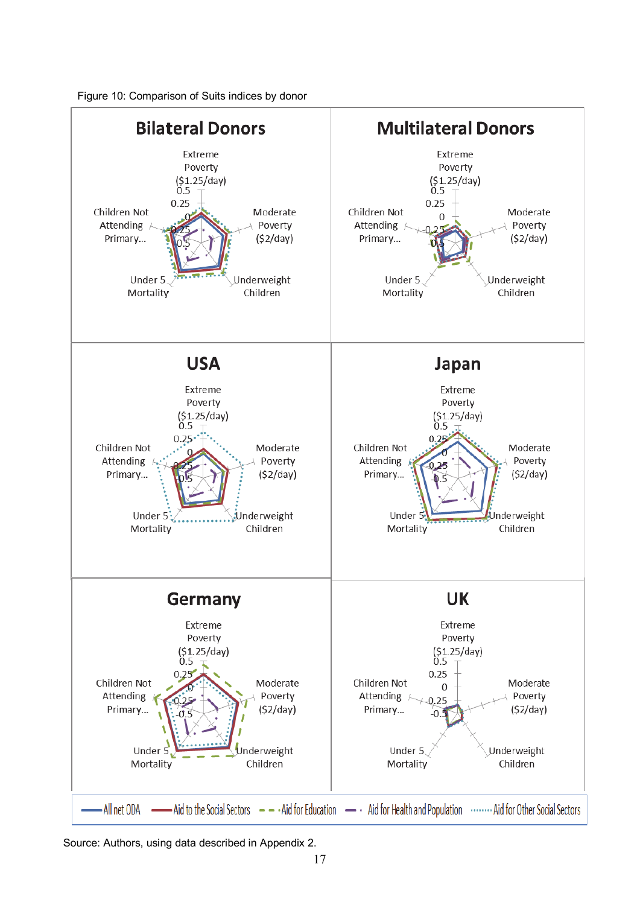



Source: Authors, using data described in Appendix 2.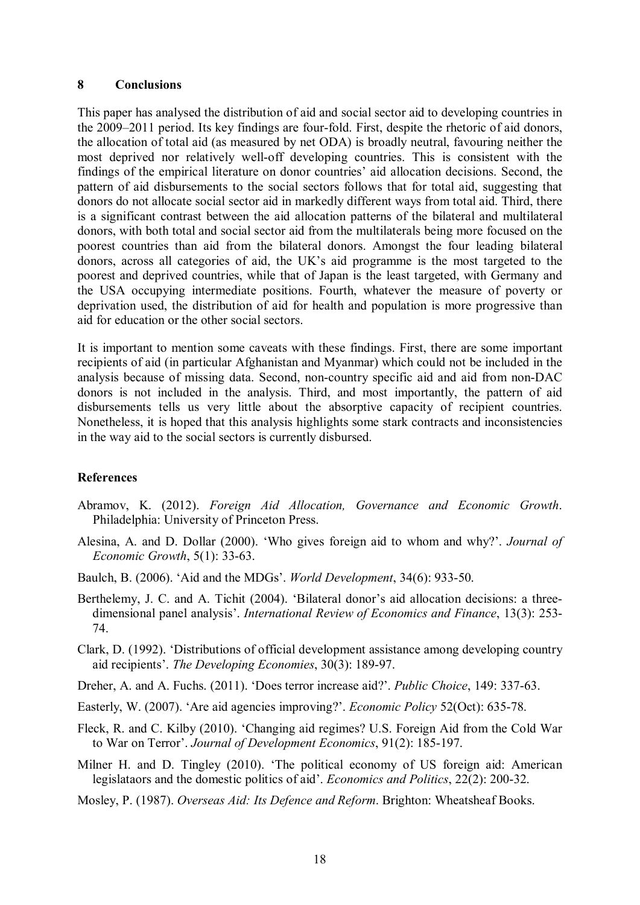#### **8 Conclusions**

This paper has analysed the distribution of aid and social sector aid to developing countries in the 2009–2011 period. Its key findings are four-fold. First, despite the rhetoric of aid donors, the allocation of total aid (as measured by net ODA) is broadly neutral, favouring neither the most deprived nor relatively well-off developing countries. This is consistent with the findings of the empirical literature on donor countries' aid allocation decisions. Second, the pattern of aid disbursements to the social sectors follows that for total aid, suggesting that donors do not allocate social sector aid in markedly different ways from total aid. Third, there is a significant contrast between the aid allocation patterns of the bilateral and multilateral donors, with both total and social sector aid from the multilaterals being more focused on the poorest countries than aid from the bilateral donors. Amongst the four leading bilateral donors, across all categories of aid, the UK's aid programme is the most targeted to the poorest and deprived countries, while that of Japan is the least targeted, with Germany and the USA occupying intermediate positions. Fourth, whatever the measure of poverty or deprivation used, the distribution of aid for health and population is more progressive than aid for education or the other social sectors.

It is important to mention some caveats with these findings. First, there are some important recipients of aid (in particular Afghanistan and Myanmar) which could not be included in the analysis because of missing data. Second, non-country specific aid and aid from non-DAC donors is not included in the analysis. Third, and most importantly, the pattern of aid disbursements tells us very little about the absorptive capacity of recipient countries. Nonetheless, it is hoped that this analysis highlights some stark contracts and inconsistencies in the way aid to the social sectors is currently disbursed.

#### **References**

- Abramov, K. (2012). *Foreign Aid Allocation, Governance and Economic Growth*. Philadelphia: University of Princeton Press.
- Alesina, A. and D. Dollar (2000). 'Who gives foreign aid to whom and why?'. *Journal of Economic Growth*, 5(1): 33-63.
- Baulch, B. (2006). 'Aid and the MDGs'. *World Development*, 34(6): 933-50.
- Berthelemy, J. C. and A. Tichit (2004). 'Bilateral donor's aid allocation decisions: a threedimensional panel analysis'. *International Review of Economics and Finance*, 13(3): 253- 74.
- Clark, D. (1992). 'Distributions of official development assistance among developing country aid recipients'. *The Developing Economies*, 30(3): 189-97.
- Dreher, A. and A. Fuchs. (2011). 'Does terror increase aid?'. *Public Choice*, 149: 337-63.
- Easterly, W. (2007). 'Are aid agencies improving?'. *Economic Policy* 52(Oct): 635-78.
- Fleck, R. and C. Kilby (2010). 'Changing aid regimes? U.S. Foreign Aid from the Cold War to War on Terror'. *Journal of Development Economics*, 91(2): 185-197.
- Milner H. and D. Tingley (2010). 'The political economy of US foreign aid: American legislataors and the domestic politics of aid'. *Economics and Politics*, 22(2): 200-32.
- Mosley, P. (1987). *Overseas Aid: Its Defence and Reform*. Brighton: Wheatsheaf Books.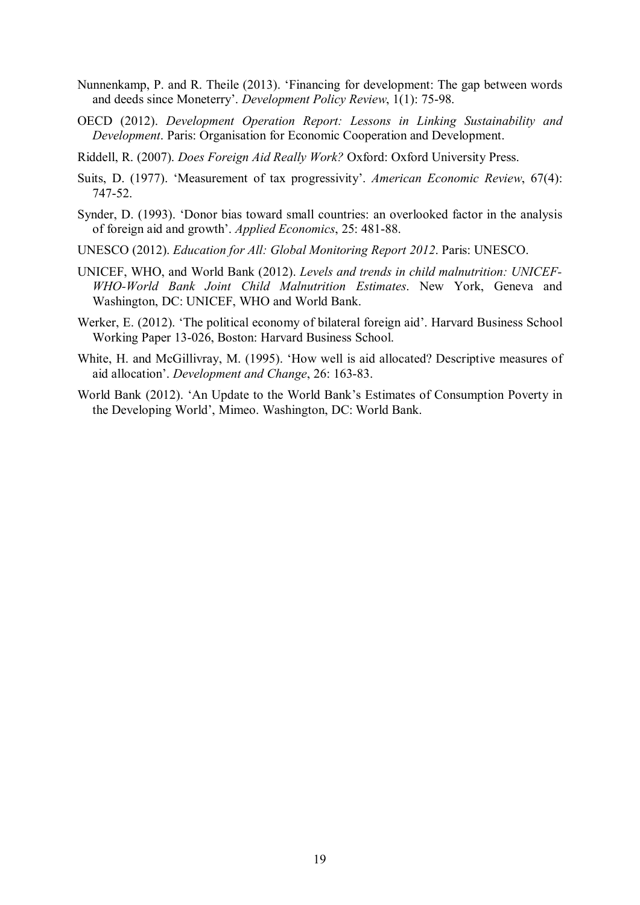- Nunnenkamp, P. and R. Theile (2013). 'Financing for development: The gap between words and deeds since Moneterry'. *Development Policy Review*, 1(1): 75-98.
- OECD (2012). *Development Operation Report: Lessons in Linking Sustainability and Development*. Paris: Organisation for Economic Cooperation and Development.
- Riddell, R. (2007). *Does Foreign Aid Really Work?* Oxford: Oxford University Press.
- Suits, D. (1977). 'Measurement of tax progressivity'. *American Economic Review*, 67(4): 747-52.
- Synder, D. (1993). 'Donor bias toward small countries: an overlooked factor in the analysis of foreign aid and growth'. *Applied Economics*, 25: 481-88.
- UNESCO (2012). *Education for All: Global Monitoring Report 2012*. Paris: UNESCO.
- UNICEF, WHO, and World Bank (2012). *Levels and trends in child malnutrition: UNICEF-WHO-World Bank Joint Child Malnutrition Estimates*. New York, Geneva and Washington, DC: UNICEF, WHO and World Bank.
- Werker, E. (2012). 'The political economy of bilateral foreign aid'. Harvard Business School Working Paper 13-026, Boston: Harvard Business School.
- White, H. and McGillivray, M. (1995). 'How well is aid allocated? Descriptive measures of aid allocation'. *Development and Change*, 26: 163-83.
- World Bank (2012). 'An Update to the World Bank's Estimates of Consumption Poverty in the Developing World', Mimeo. Washington, DC: World Bank.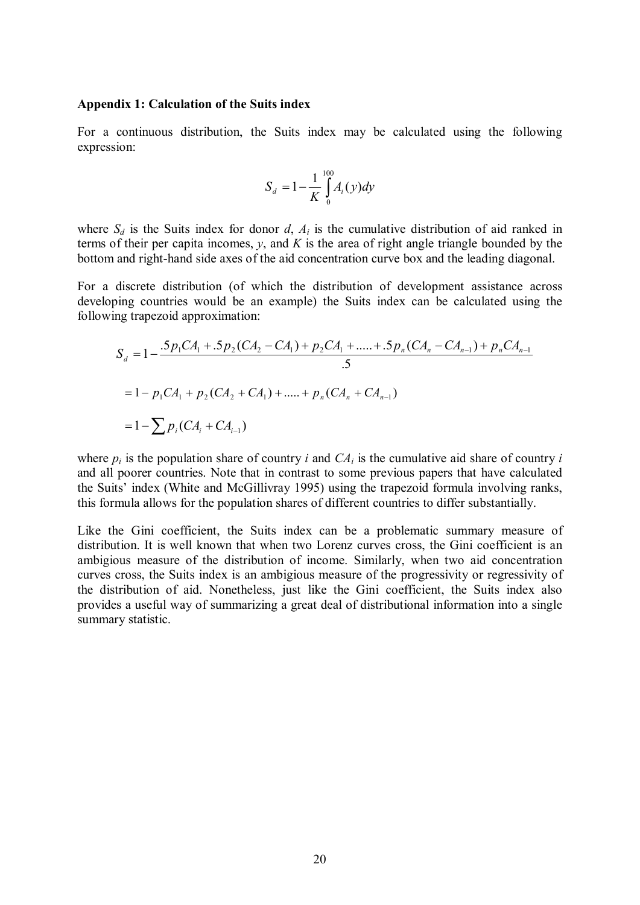#### **Appendix 1: Calculation of the Suits index**

For a continuous distribution, the Suits index may be calculated using the following expression:

$$
S_d = 1 - \frac{1}{K} \int_{0}^{100} A_i(y) dy
$$

where  $S_d$  is the Suits index for donor  $d$ ,  $A_i$  is the cumulative distribution of aid ranked in terms of their per capita incomes, *y*, and *K* is the area of right angle triangle bounded by the bottom and right-hand side axes of the aid concentration curve box and the leading diagonal.

For a discrete distribution (of which the distribution of development assistance across developing countries would be an example) the Suits index can be calculated using the following trapezoid approximation:

$$
S_d = 1 - \frac{5p_1CA_1 + 5p_2(CA_2 - CA_1) + p_2CA_1 + \dots + 5p_n(CA_n - CA_{n-1}) + p_nCA_{n-1}}{5}
$$
  
= 1 - p\_1CA\_1 + p\_2(CA\_2 + CA\_1) + \dots + p\_n(CA\_n + CA\_{n-1})  
= 1 - \sum p\_i(CA\_i + CA\_{i-1})

where  $p_i$  is the population share of country *i* and  $CA_i$  is the cumulative aid share of country *i* and all poorer countries. Note that in contrast to some previous papers that have calculated the Suits' index (White and McGillivray 1995) using the trapezoid formula involving ranks, this formula allows for the population shares of different countries to differ substantially.

Like the Gini coefficient, the Suits index can be a problematic summary measure of distribution. It is well known that when two Lorenz curves cross, the Gini coefficient is an ambigious measure of the distribution of income. Similarly, when two aid concentration curves cross, the Suits index is an ambigious measure of the progressivity or regressivity of the distribution of aid. Nonetheless, just like the Gini coefficient, the Suits index also provides a useful way of summarizing a great deal of distributional information into a single summary statistic.